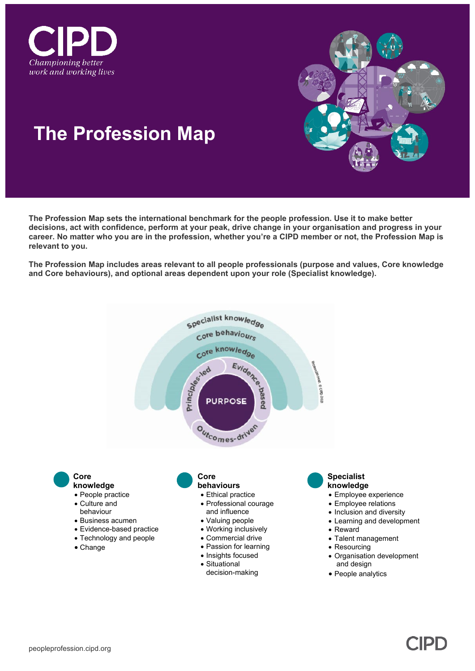

# **The Profession Map**

**The Profession Map sets the international benchmark for the people profession. Use it to make better decisions, act with confidence, perform at your peak, drive change in your organisation and progress in your career. No matter who you are in the profession, whether you're a CIPD member or not, the Profession Map is relevant to you.**

**The Profession Map includes areas relevant to all people professionals (purpose and values, Core knowledge and Core behaviours), and optional areas dependent upon your role (Specialist knowledge).**



**CIPT**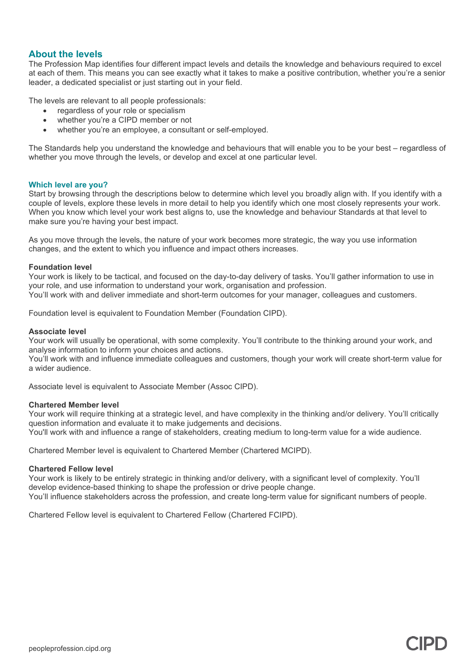#### **About the levels**

The Profession Map identifies four different impact levels and details the knowledge and behaviours required to excel at each of them. This means you can see exactly what it takes to make a positive contribution, whether you're a senior leader, a dedicated specialist or just starting out in your field.

The levels are relevant to all people professionals:

- regardless of your role or specialism
- whether you're a CIPD member or not
- whether you're an employee, a consultant or self-employed.

The Standards help you understand the knowledge and behaviours that will enable you to be your best – regardless of whether you move through the levels, or develop and excel at one particular level.

#### **Which level are you?**

Start by browsing through the descriptions below to determine which level you broadly align with. If you identify with a couple of levels, explore these levels in more detail to help you identify which one most closely represents your work. When you know which level your work best aligns to, use the knowledge and behaviour Standards at that level to make sure you're having your best impact.

As you move through the levels, the nature of your work becomes more strategic, the way you use information changes, and the extent to which you influence and impact others increases.

#### **Foundation level**

Your work is likely to be tactical, and focused on the day-to-day delivery of tasks. You'll gather information to use in your role, and use information to understand your work, organisation and profession. You'll work with and deliver immediate and short-term outcomes for your manager, colleagues and customers.

Foundation level is equivalent to Foundation Member (Foundation CIPD).

#### **Associate level**

Your work will usually be operational, with some complexity. You'll contribute to the thinking around your work, and analyse information to inform your choices and actions.

You'll work with and influence immediate colleagues and customers, though your work will create short-term value for a wider audience.

Associate level is equivalent to Associate Member (Assoc CIPD).

#### **Chartered Member level**

Your work will require thinking at a strategic level, and have complexity in the thinking and/or delivery. You'll critically question information and evaluate it to make judgements and decisions. You'll work with and influence a range of stakeholders, creating medium to long-term value for a wide audience.

Chartered Member level is equivalent to Chartered Member (Chartered MCIPD).

#### **Chartered Fellow level**

Your work is likely to be entirely strategic in thinking and/or delivery, with a significant level of complexity. You'll develop evidence-based thinking to shape the profession or drive people change. You'll influence stakeholders across the profession, and create long-term value for significant numbers of people.

**CIPT** 

Chartered Fellow level is equivalent to Chartered Fellow (Chartered FCIPD).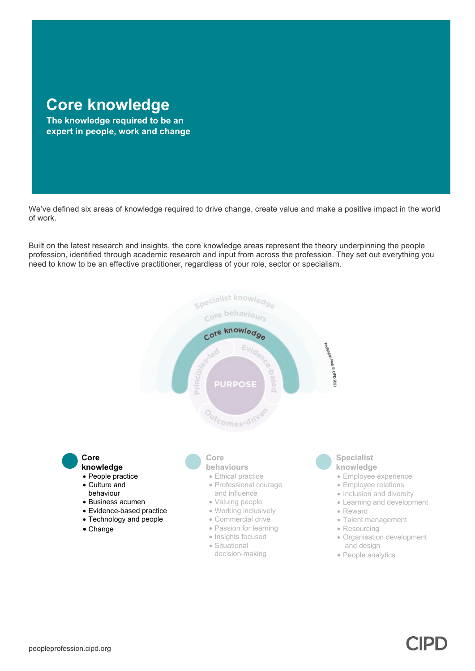## **Core knowledge**

**The knowledge required to be an expert in people, work and change**

We've defined six areas of knowledge required to drive change, create value and make a positive impact in the world of work.

Built on the latest research and insights, the core knowledge areas represent the theory underpinning the people profession, identified through academic research and input from across the profession. They set out everything you need to know to be an effective practitioner, regardless of your role, sector or specialism.

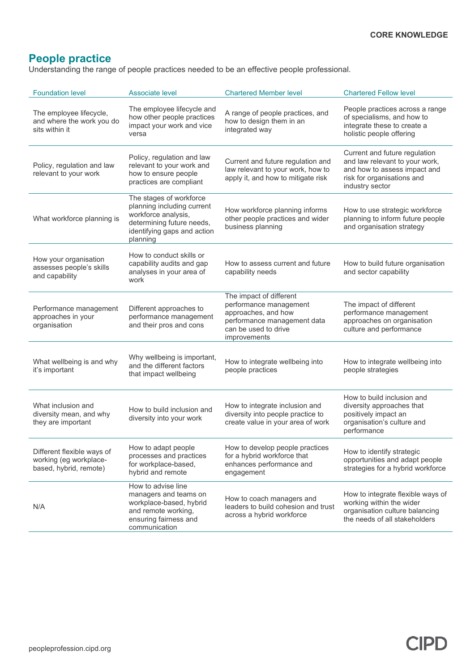### **People practice**

Understanding the range of people practices needed to be an effective people professional.

| <b>Foundation level</b>                                                        | Associate level                                                                                                                                      | <b>Chartered Member level</b>                                                                                                                   | <b>Chartered Fellow level</b>                                                                                                                    |
|--------------------------------------------------------------------------------|------------------------------------------------------------------------------------------------------------------------------------------------------|-------------------------------------------------------------------------------------------------------------------------------------------------|--------------------------------------------------------------------------------------------------------------------------------------------------|
| The employee lifecycle,<br>and where the work you do<br>sits within it         | The employee lifecycle and<br>how other people practices<br>impact your work and vice<br>versa                                                       | A range of people practices, and<br>how to design them in an<br>integrated way                                                                  | People practices across a range<br>of specialisms, and how to<br>integrate these to create a<br>holistic people offering                         |
| Policy, regulation and law<br>relevant to your work                            | Policy, regulation and law<br>relevant to your work and<br>how to ensure people<br>practices are compliant                                           | Current and future regulation and<br>law relevant to your work, how to<br>apply it, and how to mitigate risk                                    | Current and future regulation<br>and law relevant to your work,<br>and how to assess impact and<br>risk for organisations and<br>industry sector |
| What workforce planning is                                                     | The stages of workforce<br>planning including current<br>workforce analysis,<br>determining future needs,<br>identifying gaps and action<br>planning | How workforce planning informs<br>other people practices and wider<br>business planning                                                         | How to use strategic workforce<br>planning to inform future people<br>and organisation strategy                                                  |
| How your organisation<br>assesses people's skills<br>and capability            | How to conduct skills or<br>capability audits and gap<br>analyses in your area of<br>work                                                            | How to assess current and future<br>capability needs                                                                                            | How to build future organisation<br>and sector capability                                                                                        |
| Performance management<br>approaches in your<br>organisation                   | Different approaches to<br>performance management<br>and their pros and cons                                                                         | The impact of different<br>performance management<br>approaches, and how<br>performance management data<br>can be used to drive<br>improvements | The impact of different<br>performance management<br>approaches on organisation<br>culture and performance                                       |
| What wellbeing is and why<br>it's important                                    | Why wellbeing is important,<br>and the different factors<br>that impact wellbeing                                                                    | How to integrate wellbeing into<br>people practices                                                                                             | How to integrate wellbeing into<br>people strategies                                                                                             |
| What inclusion and<br>diversity mean, and why<br>they are important            | How to build inclusion and<br>diversity into your work                                                                                               | How to integrate inclusion and<br>diversity into people practice to<br>create value in your area of work                                        | How to build inclusion and<br>diversity approaches that<br>positively impact an<br>organisation's culture and<br>performance                     |
| Different flexible ways of<br>working (eg workplace-<br>based, hybrid, remote) | How to adapt people<br>processes and practices<br>for workplace-based,<br>hybrid and remote                                                          | How to develop people practices<br>for a hybrid workforce that<br>enhances performance and<br>engagement                                        | How to identify strategic<br>opportunities and adapt people<br>strategies for a hybrid workforce                                                 |
| N/A                                                                            | How to advise line<br>managers and teams on<br>workplace-based, hybrid<br>and remote working,<br>ensuring fairness and<br>communication              | How to coach managers and<br>leaders to build cohesion and trust<br>across a hybrid workforce                                                   | How to integrate flexible ways of<br>working within the wider<br>organisation culture balancing<br>the needs of all stakeholders                 |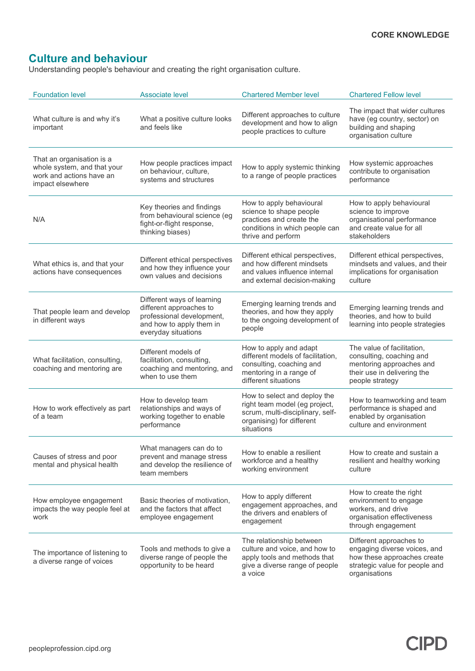### **Culture and behaviour**

Understanding people's behaviour and creating the right organisation culture.

| <b>Foundation level</b>                                                                                  | Associate level                                                                                                                       | <b>Chartered Member level</b>                                                                                                                | <b>Chartered Fellow level</b>                                                                                                             |
|----------------------------------------------------------------------------------------------------------|---------------------------------------------------------------------------------------------------------------------------------------|----------------------------------------------------------------------------------------------------------------------------------------------|-------------------------------------------------------------------------------------------------------------------------------------------|
| What culture is and why it's<br>important                                                                | What a positive culture looks<br>and feels like                                                                                       | Different approaches to culture<br>development and how to align<br>people practices to culture                                               | The impact that wider cultures<br>have (eg country, sector) on<br>building and shaping<br>organisation culture                            |
| That an organisation is a<br>whole system, and that your<br>work and actions have an<br>impact elsewhere | How people practices impact<br>on behaviour, culture,<br>systems and structures                                                       | How to apply systemic thinking<br>to a range of people practices                                                                             | How systemic approaches<br>contribute to organisation<br>performance                                                                      |
| N/A                                                                                                      | Key theories and findings<br>from behavioural science (eg<br>fight-or-flight response,<br>thinking biases)                            | How to apply behavioural<br>science to shape people<br>practices and create the<br>conditions in which people can<br>thrive and perform      | How to apply behavioural<br>science to improve<br>organisational performance<br>and create value for all<br>stakeholders                  |
| What ethics is, and that your<br>actions have consequences                                               | Different ethical perspectives<br>and how they influence your<br>own values and decisions                                             | Different ethical perspectives,<br>and how different mindsets<br>and values influence internal<br>and external decision-making               | Different ethical perspectives,<br>mindsets and values, and their<br>implications for organisation<br>culture                             |
| That people learn and develop<br>in different ways                                                       | Different ways of learning<br>different approaches to<br>professional development,<br>and how to apply them in<br>everyday situations | Emerging learning trends and<br>theories, and how they apply<br>to the ongoing development of<br>people                                      | Emerging learning trends and<br>theories, and how to build<br>learning into people strategies                                             |
| What facilitation, consulting,<br>coaching and mentoring are                                             | Different models of<br>facilitation, consulting,<br>coaching and mentoring, and<br>when to use them                                   | How to apply and adapt<br>different models of facilitation,<br>consulting, coaching and<br>mentoring in a range of<br>different situations   | The value of facilitation,<br>consulting, coaching and<br>mentoring approaches and<br>their use in delivering the<br>people strategy      |
| How to work effectively as part<br>of a team                                                             | How to develop team<br>relationships and ways of<br>working together to enable<br>performance                                         | How to select and deploy the<br>right team model (eg project,<br>scrum, multi-disciplinary, self-<br>organising) for different<br>situations | How to teamworking and team<br>performance is shaped and<br>enabled by organisation<br>culture and environment                            |
| Causes of stress and poor<br>mental and physical health                                                  | What managers can do to<br>prevent and manage stress<br>and develop the resilience of<br>team members                                 | How to enable a resilient<br>workforce and a healthy<br>working environment                                                                  | How to create and sustain a<br>resilient and healthy working<br>culture                                                                   |
| How employee engagement<br>impacts the way people feel at<br>work                                        | Basic theories of motivation,<br>and the factors that affect<br>employee engagement                                                   | How to apply different<br>engagement approaches, and<br>the drivers and enablers of<br>engagement                                            | How to create the right<br>environment to engage<br>workers, and drive<br>organisation effectiveness<br>through engagement                |
| The importance of listening to<br>a diverse range of voices                                              | Tools and methods to give a<br>diverse range of people the<br>opportunity to be heard                                                 | The relationship between<br>culture and voice, and how to<br>apply tools and methods that<br>give a diverse range of people<br>a voice       | Different approaches to<br>engaging diverse voices, and<br>how these approaches create<br>strategic value for people and<br>organisations |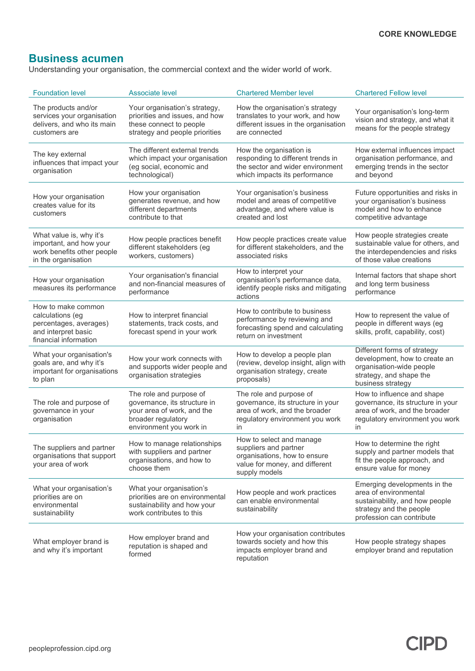### **Business acumen**

Understanding your organisation, the commercial context and the wider world of work.

| <b>Foundation level</b>                                                                                          | <b>Associate level</b>                                                                                                                 | <b>Chartered Member level</b>                                                                                                          | <b>Chartered Fellow level</b>                                                                                                                   |
|------------------------------------------------------------------------------------------------------------------|----------------------------------------------------------------------------------------------------------------------------------------|----------------------------------------------------------------------------------------------------------------------------------------|-------------------------------------------------------------------------------------------------------------------------------------------------|
| The products and/or<br>services your organisation<br>delivers, and who its main<br>customers are                 | Your organisation's strategy,<br>priorities and issues, and how<br>these connect to people<br>strategy and people priorities           | How the organisation's strategy<br>translates to your work, and how<br>different issues in the organisation<br>are connected           | Your organisation's long-term<br>vision and strategy, and what it<br>means for the people strategy                                              |
| The key external<br>influences that impact your<br>organisation                                                  | The different external trends<br>which impact your organisation<br>(eg social, economic and<br>technological)                          | How the organisation is<br>responding to different trends in<br>the sector and wider environment<br>which impacts its performance      | How external influences impact<br>organisation performance, and<br>emerging trends in the sector<br>and beyond                                  |
| How your organisation<br>creates value for its<br>customers                                                      | How your organisation<br>generates revenue, and how<br>different departments<br>contribute to that                                     | Your organisation's business<br>model and areas of competitive<br>advantage, and where value is<br>created and lost                    | Future opportunities and risks in<br>your organisation's business<br>model and how to enhance<br>competitive advantage                          |
| What value is, why it's<br>important, and how your<br>work benefits other people<br>in the organisation          | How people practices benefit<br>different stakeholders (eg<br>workers, customers)                                                      | How people practices create value<br>for different stakeholders, and the<br>associated risks                                           | How people strategies create<br>sustainable value for others, and<br>the interdependencies and risks<br>of those value creations                |
| How your organisation<br>measures its performance                                                                | Your organisation's financial<br>and non-financial measures of<br>performance                                                          | How to interpret your<br>organisation's performance data,<br>identify people risks and mitigating<br>actions                           | Internal factors that shape short<br>and long term business<br>performance                                                                      |
| How to make common<br>calculations (eg<br>percentages, averages)<br>and interpret basic<br>financial information | How to interpret financial<br>statements, track costs, and<br>forecast spend in your work                                              | How to contribute to business<br>performance by reviewing and<br>forecasting spend and calculating<br>return on investment             | How to represent the value of<br>people in different ways (eg<br>skills, profit, capability, cost)                                              |
| What your organisation's<br>goals are, and why it's<br>important for organisations<br>to plan                    | How your work connects with<br>and supports wider people and<br>organisation strategies                                                | How to develop a people plan<br>(review, develop insight, align with<br>organisation strategy, create<br>proposals)                    | Different forms of strategy<br>development, how to create an<br>organisation-wide people<br>strategy, and shape the<br>business strategy        |
| The role and purpose of<br>governance in your<br>organisation                                                    | The role and purpose of<br>governance, its structure in<br>your area of work, and the<br>broader regulatory<br>environment you work in | The role and purpose of<br>governance, its structure in your<br>area of work, and the broader<br>regulatory environment you work<br>in | How to influence and shape<br>governance, its structure in your<br>area of work, and the broader<br>regulatory environment you work<br>in       |
| The suppliers and partner<br>organisations that support<br>your area of work                                     | How to manage relationships<br>with suppliers and partner<br>organisations, and how to<br>choose them                                  | How to select and manage<br>suppliers and partner<br>organisations, how to ensure<br>value for money, and different<br>supply models   | How to determine the right<br>supply and partner models that<br>fit the people approach, and<br>ensure value for money                          |
| What your organisation's<br>priorities are on<br>environmental<br>sustainability                                 | What your organisation's<br>priorities are on environmental<br>sustainability and how your<br>work contributes to this                 | How people and work practices<br>can enable environmental<br>sustainability                                                            | Emerging developments in the<br>area of environmental<br>sustainability, and how people<br>strategy and the people<br>profession can contribute |
| What employer brand is<br>and why it's important                                                                 | How employer brand and<br>reputation is shaped and<br>formed                                                                           | How your organisation contributes<br>towards society and how this<br>impacts employer brand and<br>reputation                          | How people strategy shapes<br>employer brand and reputation                                                                                     |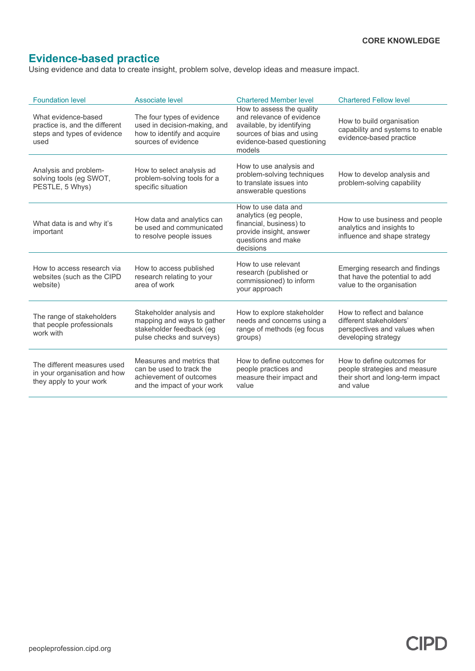#### **CORE KNOWLEDGE**

**CIPD** 

#### **Evidence-based practice**

Using evidence and data to create insight, problem solve, develop ideas and measure impact.

| <b>Foundation level</b>                                                                      | <b>Associate level</b>                                                                                           | <b>Chartered Member level</b>                                                                                                                            | <b>Chartered Fellow level</b>                                                                                |
|----------------------------------------------------------------------------------------------|------------------------------------------------------------------------------------------------------------------|----------------------------------------------------------------------------------------------------------------------------------------------------------|--------------------------------------------------------------------------------------------------------------|
| What evidence-based<br>practice is, and the different<br>steps and types of evidence<br>used | The four types of evidence<br>used in decision-making, and<br>how to identify and acquire<br>sources of evidence | How to assess the quality<br>and relevance of evidence<br>available, by identifying<br>sources of bias and using<br>evidence-based questioning<br>models | How to build organisation<br>capability and systems to enable<br>evidence-based practice                     |
| Analysis and problem-<br>solving tools (eg SWOT,<br>PESTLE, 5 Whys)                          | How to select analysis ad<br>problem-solving tools for a<br>specific situation                                   | How to use analysis and<br>problem-solving techniques<br>to translate issues into<br>answerable questions                                                | How to develop analysis and<br>problem-solving capability                                                    |
| What data is and why it's<br>important                                                       | How data and analytics can<br>be used and communicated<br>to resolve people issues                               | How to use data and<br>analytics (eg people,<br>financial, business) to<br>provide insight, answer<br>questions and make<br>decisions                    | How to use business and people<br>analytics and insights to<br>influence and shape strategy                  |
| How to access research via<br>websites (such as the CIPD<br>website)                         | How to access published<br>research relating to your<br>area of work                                             | How to use relevant<br>research (published or<br>commissioned) to inform<br>your approach                                                                | Emerging research and findings<br>that have the potential to add<br>value to the organisation                |
| The range of stakeholders<br>that people professionals<br>work with                          | Stakeholder analysis and<br>mapping and ways to gather<br>stakeholder feedback (eg<br>pulse checks and surveys)  | How to explore stakeholder<br>needs and concerns using a<br>range of methods (eg focus<br>groups)                                                        | How to reflect and balance<br>different stakeholders'<br>perspectives and values when<br>developing strategy |
| The different measures used<br>in your organisation and how<br>they apply to your work       | Measures and metrics that<br>can be used to track the<br>achievement of outcomes<br>and the impact of your work  | How to define outcomes for<br>people practices and<br>measure their impact and<br>value                                                                  | How to define outcomes for<br>people strategies and measure<br>their short and long-term impact<br>and value |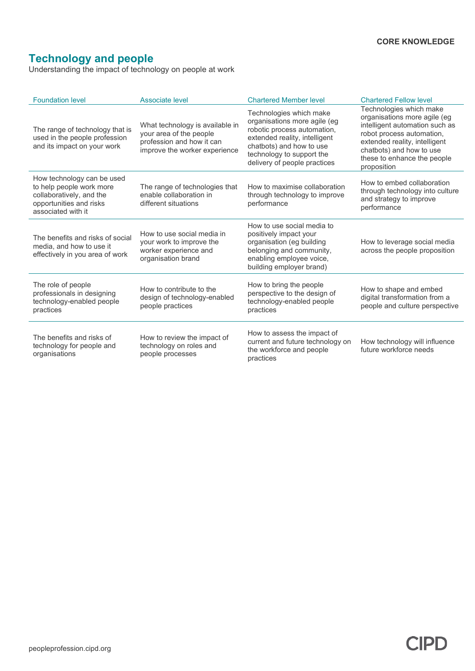#### **CORE KNOWLEDGE**

**CIPD** 

### **Technology and people**

Understanding the impact of technology on people at work

| <b>Foundation level</b>                                                                                                             | Associate level                                                                                                          | <b>Chartered Member level</b>                                                                                                                                                                                    | <b>Chartered Fellow level</b>                                                                                                                                                                                                     |
|-------------------------------------------------------------------------------------------------------------------------------------|--------------------------------------------------------------------------------------------------------------------------|------------------------------------------------------------------------------------------------------------------------------------------------------------------------------------------------------------------|-----------------------------------------------------------------------------------------------------------------------------------------------------------------------------------------------------------------------------------|
| The range of technology that is<br>used in the people profession<br>and its impact on your work                                     | What technology is available in<br>your area of the people<br>profession and how it can<br>improve the worker experience | Technologies which make<br>organisations more agile (eg<br>robotic process automation,<br>extended reality, intelligent<br>chatbots) and how to use<br>technology to support the<br>delivery of people practices | Technologies which make<br>organisations more agile (eg<br>intelligent automation such as<br>robot process automation,<br>extended reality, intelligent<br>chatbots) and how to use<br>these to enhance the people<br>proposition |
| How technology can be used<br>to help people work more<br>collaboratively, and the<br>opportunities and risks<br>associated with it | The range of technologies that<br>enable collaboration in<br>different situations                                        | How to maximise collaboration<br>through technology to improve<br>performance                                                                                                                                    | How to embed collaboration<br>through technology into culture<br>and strategy to improve<br>performance                                                                                                                           |
| The benefits and risks of social<br>media, and how to use it<br>effectively in you area of work                                     | How to use social media in<br>your work to improve the<br>worker experience and<br>organisation brand                    | How to use social media to<br>positively impact your<br>organisation (eg building<br>belonging and community,<br>enabling employee voice,<br>building employer brand)                                            | How to leverage social media<br>across the people proposition                                                                                                                                                                     |
| The role of people<br>professionals in designing<br>technology-enabled people<br>practices                                          | How to contribute to the<br>design of technology-enabled<br>people practices                                             | How to bring the people<br>perspective to the design of<br>technology-enabled people<br>practices                                                                                                                | How to shape and embed<br>digital transformation from a<br>people and culture perspective                                                                                                                                         |
| The benefits and risks of<br>technology for people and<br>organisations                                                             | How to review the impact of<br>technology on roles and<br>people processes                                               | How to assess the impact of<br>current and future technology on<br>the workforce and people<br>practices                                                                                                         | How technology will influence<br>future workforce needs                                                                                                                                                                           |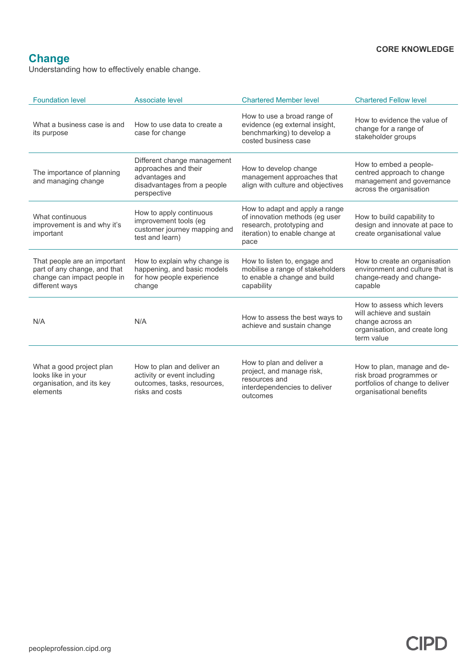#### **CORE KNOWLEDGE**

**CIPD** 

#### **Change**

Understanding how to effectively enable change.

| <b>Foundation level</b>                                                                                       | Associate level                                                                                                     | <b>Chartered Member level</b>                                                                                                           | <b>Chartered Fellow level</b>                                                                                             |
|---------------------------------------------------------------------------------------------------------------|---------------------------------------------------------------------------------------------------------------------|-----------------------------------------------------------------------------------------------------------------------------------------|---------------------------------------------------------------------------------------------------------------------------|
| What a business case is and<br>its purpose                                                                    | How to use data to create a<br>case for change                                                                      | How to use a broad range of<br>evidence (eg external insight,<br>benchmarking) to develop a<br>costed business case                     | How to evidence the value of<br>change for a range of<br>stakeholder groups                                               |
| The importance of planning<br>and managing change                                                             | Different change management<br>approaches and their<br>advantages and<br>disadvantages from a people<br>perspective | How to develop change<br>management approaches that<br>align with culture and objectives                                                | How to embed a people-<br>centred approach to change<br>management and governance<br>across the organisation              |
| What continuous<br>improvement is and why it's<br>important                                                   | How to apply continuous<br>improvement tools (eg<br>customer journey mapping and<br>test and learn)                 | How to adapt and apply a range<br>of innovation methods (eg user<br>research, prototyping and<br>iteration) to enable change at<br>pace | How to build capability to<br>design and innovate at pace to<br>create organisational value                               |
| That people are an important<br>part of any change, and that<br>change can impact people in<br>different ways | How to explain why change is<br>happening, and basic models<br>for how people experience<br>change                  | How to listen to, engage and<br>mobilise a range of stakeholders<br>to enable a change and build<br>capability                          | How to create an organisation<br>environment and culture that is<br>change-ready and change-<br>capable                   |
| N/A                                                                                                           | N/A                                                                                                                 | How to assess the best ways to<br>achieve and sustain change                                                                            | How to assess which levers<br>will achieve and sustain<br>change across an<br>organisation, and create long<br>term value |
| What a good project plan<br>looks like in your<br>organisation, and its key<br>elements                       | How to plan and deliver an<br>activity or event including<br>outcomes, tasks, resources,<br>risks and costs         | How to plan and deliver a<br>project, and manage risk,<br>resources and<br>interdependencies to deliver<br>outcomes                     | How to plan, manage and de-<br>risk broad programmes or<br>portfolios of change to deliver<br>organisational benefits     |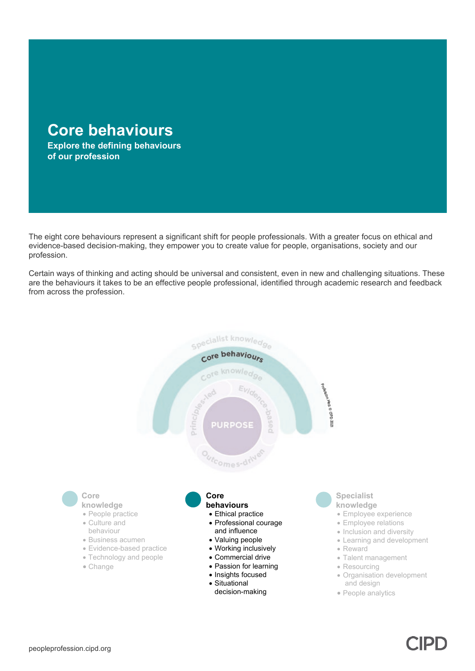# **Core behaviours**

**Explore the defining behaviours of our profession**

The eight core behaviours represent a significant shift for people professionals. With a greater focus on ethical and evidence-based decision-making, they empower you to create value for people, organisations, society and our profession.

Certain ways of thinking and acting should be universal and consistent, even in new and challenging situations. These are the behaviours it takes to be an effective people professional, identified through academic research and feedback from across the profession.



**CID**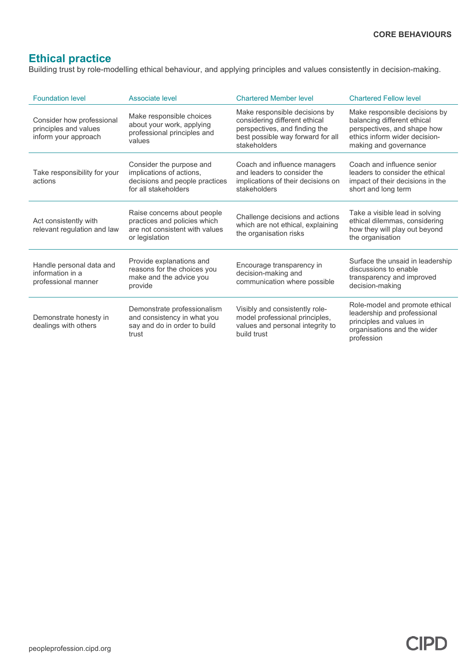#### **Ethical practice**

Building trust by role-modelling ethical behaviour, and applying principles and values consistently in decision-making.

| <b>Foundation level</b>                                                    | Associate level                                                                                                 | <b>Chartered Member level</b>                                                                                                                        | <b>Chartered Fellow level</b>                                                                                                                         |
|----------------------------------------------------------------------------|-----------------------------------------------------------------------------------------------------------------|------------------------------------------------------------------------------------------------------------------------------------------------------|-------------------------------------------------------------------------------------------------------------------------------------------------------|
| Consider how professional<br>principles and values<br>inform your approach | Make responsible choices<br>about your work, applying<br>professional principles and<br>values                  | Make responsible decisions by<br>considering different ethical<br>perspectives, and finding the<br>best possible way forward for all<br>stakeholders | Make responsible decisions by<br>balancing different ethical<br>perspectives, and shape how<br>ethics inform wider decision-<br>making and governance |
| Take responsibility for your<br>actions                                    | Consider the purpose and<br>implications of actions,<br>decisions and people practices<br>for all stakeholders  | Coach and influence managers<br>and leaders to consider the<br>implications of their decisions on<br>stakeholders                                    | Coach and influence senior<br>leaders to consider the ethical<br>impact of their decisions in the<br>short and long term                              |
| Act consistently with<br>relevant regulation and law                       | Raise concerns about people<br>practices and policies which<br>are not consistent with values<br>or legislation | Challenge decisions and actions<br>which are not ethical, explaining<br>the organisation risks                                                       | Take a visible lead in solving<br>ethical dilemmas, considering<br>how they will play out beyond<br>the organisation                                  |
| Handle personal data and<br>information in a<br>professional manner        | Provide explanations and<br>reasons for the choices you<br>make and the advice you<br>provide                   | Encourage transparency in<br>decision-making and<br>communication where possible                                                                     | Surface the unsaid in leadership<br>discussions to enable<br>transparency and improved<br>decision-making                                             |
| Demonstrate honesty in<br>dealings with others                             | Demonstrate professionalism<br>and consistency in what you<br>say and do in order to build<br>trust             | Visibly and consistently role-<br>model professional principles,<br>values and personal integrity to<br>build trust                                  | Role-model and promote ethical<br>leadership and professional<br>principles and values in<br>organisations and the wider<br>profession                |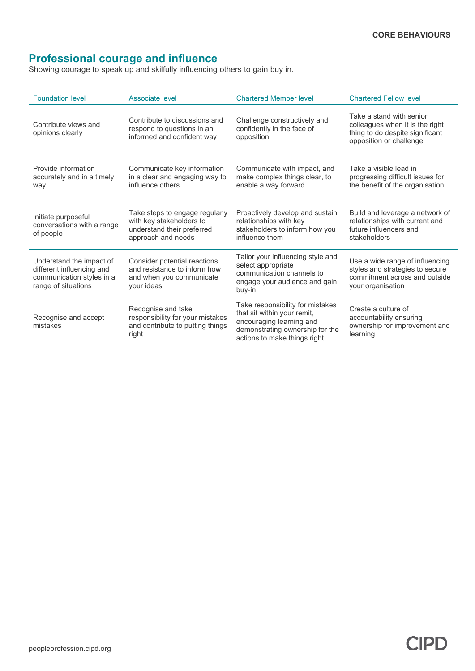#### **Professional courage and influence**

Showing courage to speak up and skilfully influencing others to gain buy in.

| <b>Foundation level</b>                                                                                   | Associate level                                                                                                | <b>Chartered Member level</b>                                                                                                                                  | <b>Chartered Fellow level</b>                                                                                             |
|-----------------------------------------------------------------------------------------------------------|----------------------------------------------------------------------------------------------------------------|----------------------------------------------------------------------------------------------------------------------------------------------------------------|---------------------------------------------------------------------------------------------------------------------------|
| Contribute views and<br>opinions clearly                                                                  | Contribute to discussions and<br>respond to questions in an<br>informed and confident way                      | Challenge constructively and<br>confidently in the face of<br>opposition                                                                                       | Take a stand with senior<br>colleagues when it is the right<br>thing to do despite significant<br>opposition or challenge |
| Provide information<br>accurately and in a timely<br>way                                                  | Communicate key information<br>in a clear and engaging way to<br>influence others                              | Communicate with impact, and<br>make complex things clear, to<br>enable a way forward                                                                          | Take a visible lead in<br>progressing difficult issues for<br>the benefit of the organisation                             |
| Initiate purposeful<br>conversations with a range<br>of people                                            | Take steps to engage regularly<br>with key stakeholders to<br>understand their preferred<br>approach and needs | Proactively develop and sustain<br>relationships with key<br>stakeholders to inform how you<br>influence them                                                  | Build and leverage a network of<br>relationships with current and<br>future influencers and<br>stakeholders               |
| Understand the impact of<br>different influencing and<br>communication styles in a<br>range of situations | Consider potential reactions<br>and resistance to inform how<br>and when you communicate<br>your ideas         | Tailor your influencing style and<br>select appropriate<br>communication channels to<br>engage your audience and gain<br>buy-in                                | Use a wide range of influencing<br>styles and strategies to secure<br>commitment across and outside<br>your organisation  |
| Recognise and accept<br>mistakes                                                                          | Recognise and take<br>responsibility for your mistakes<br>and contribute to putting things<br>right            | Take responsibility for mistakes<br>that sit within your remit,<br>encouraging learning and<br>demonstrating ownership for the<br>actions to make things right | Create a culture of<br>accountability ensuring<br>ownership for improvement and<br>learning                               |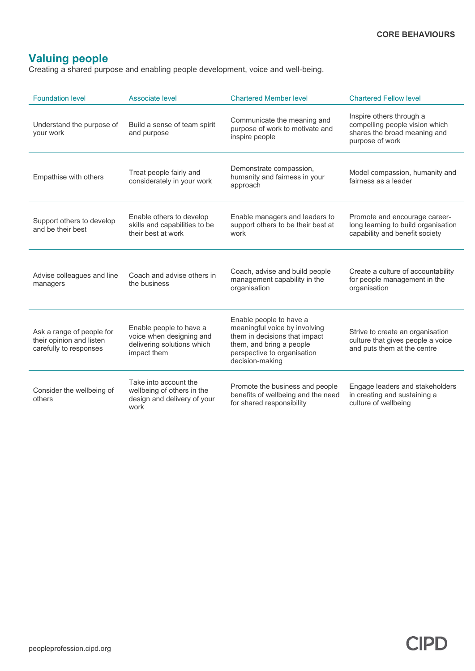### **Valuing people**

Creating a shared purpose and enabling people development, voice and well-being.

| <b>Foundation level</b>                                                         | Associate level                                                                                  | <b>Chartered Member level</b>                                                                                                                                           | <b>Chartered Fellow level</b>                                                                                 |
|---------------------------------------------------------------------------------|--------------------------------------------------------------------------------------------------|-------------------------------------------------------------------------------------------------------------------------------------------------------------------------|---------------------------------------------------------------------------------------------------------------|
| Understand the purpose of<br>your work                                          | Build a sense of team spirit<br>and purpose                                                      | Communicate the meaning and<br>purpose of work to motivate and<br>inspire people                                                                                        | Inspire others through a<br>compelling people vision which<br>shares the broad meaning and<br>purpose of work |
| Empathise with others                                                           | Treat people fairly and<br>considerately in your work                                            | Demonstrate compassion,<br>humanity and fairness in your<br>approach                                                                                                    | Model compassion, humanity and<br>fairness as a leader                                                        |
| Support others to develop<br>and be their best                                  | Enable others to develop<br>skills and capabilities to be<br>their best at work                  | Enable managers and leaders to<br>support others to be their best at<br>work                                                                                            | Promote and encourage career-<br>long learning to build organisation<br>capability and benefit society        |
| Advise colleagues and line<br>managers                                          | Coach and advise others in<br>the business                                                       | Coach, advise and build people<br>management capability in the<br>organisation                                                                                          | Create a culture of accountability<br>for people management in the<br>organisation                            |
| Ask a range of people for<br>their opinion and listen<br>carefully to responses | Enable people to have a<br>voice when designing and<br>delivering solutions which<br>impact them | Enable people to have a<br>meaningful voice by involving<br>them in decisions that impact<br>them, and bring a people<br>perspective to organisation<br>decision-making | Strive to create an organisation<br>culture that gives people a voice<br>and puts them at the centre          |
| Consider the wellbeing of<br>others                                             | Take into account the<br>wellbeing of others in the<br>design and delivery of your<br>work       | Promote the business and people<br>benefits of wellbeing and the need<br>for shared responsibility                                                                      | Engage leaders and stakeholders<br>in creating and sustaining a<br>culture of wellbeing                       |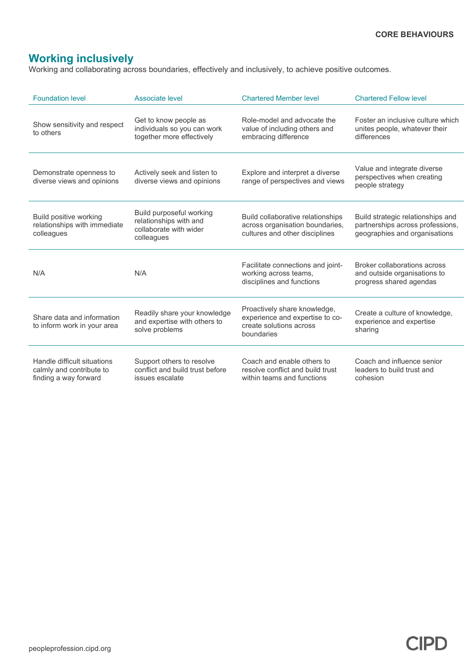### **Working inclusively**

Working and collaborating across boundaries, effectively and inclusively, to achieve positive outcomes.

| <b>Foundation level</b>                                                          | Associate level                                                                            | <b>Chartered Member level</b>                                                                            | <b>Chartered Fellow level</b>                                                                          |
|----------------------------------------------------------------------------------|--------------------------------------------------------------------------------------------|----------------------------------------------------------------------------------------------------------|--------------------------------------------------------------------------------------------------------|
| Show sensitivity and respect<br>to others                                        | Get to know people as<br>individuals so you can work<br>together more effectively          | Role-model and advocate the<br>value of including others and<br>embracing difference                     | Foster an inclusive culture which<br>unites people, whatever their<br>differences                      |
| Demonstrate openness to<br>diverse views and opinions                            | Actively seek and listen to<br>diverse views and opinions                                  | Explore and interpret a diverse<br>range of perspectives and views                                       | Value and integrate diverse<br>perspectives when creating<br>people strategy                           |
| Build positive working<br>relationships with immediate<br>colleagues             | Build purposeful working<br>relationships with and<br>collaborate with wider<br>colleagues | Build collaborative relationships<br>across organisation boundaries,<br>cultures and other disciplines   | Build strategic relationships and<br>partnerships across professions,<br>geographies and organisations |
| N/A                                                                              | N/A                                                                                        | Facilitate connections and joint-<br>working across teams,<br>disciplines and functions                  | Broker collaborations across<br>and outside organisations to<br>progress shared agendas                |
| Share data and information<br>to inform work in your area                        | Readily share your knowledge<br>and expertise with others to<br>solve problems             | Proactively share knowledge,<br>experience and expertise to co-<br>create solutions across<br>boundaries | Create a culture of knowledge,<br>experience and expertise<br>sharing                                  |
| Handle difficult situations<br>calmly and contribute to<br>finding a way forward | Support others to resolve<br>conflict and build trust before<br>issues escalate            | Coach and enable others to<br>resolve conflict and build trust<br>within teams and functions             | Coach and influence senior<br>leaders to build trust and<br>cohesion                                   |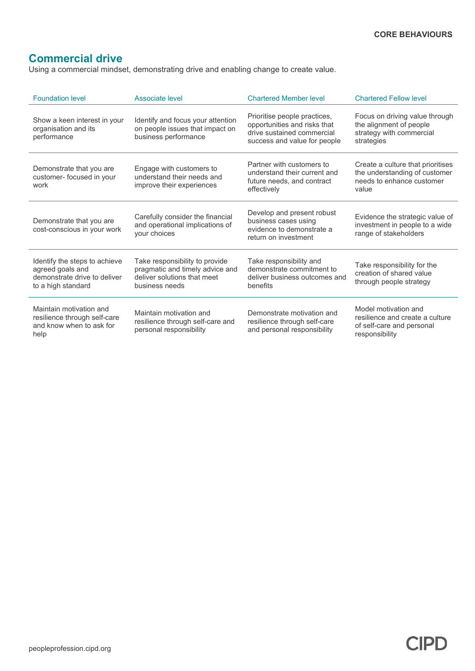### **Commercial drive**

Using a commercial mindset, demonstrating drive and enabling change to create value.

| <b>Foundation level</b>                                                                                 | Associate level                                                                                                    | <b>Chartered Member level</b>                                                                                              | <b>Chartered Fellow level</b>                                                                            |
|---------------------------------------------------------------------------------------------------------|--------------------------------------------------------------------------------------------------------------------|----------------------------------------------------------------------------------------------------------------------------|----------------------------------------------------------------------------------------------------------|
| Show a keen interest in your<br>organisation and its<br>performance                                     | Identify and focus your attention<br>on people issues that impact on<br>business performance                       | Prioritise people practices,<br>opportunities and risks that<br>drive sustained commercial<br>success and value for people | Focus on driving value through<br>the alignment of people<br>strategy with commercial<br>strategies      |
| Demonstrate that you are<br>customer- focused in your<br>work                                           | Engage with customers to<br>understand their needs and<br>improve their experiences                                | Partner with customers to<br>understand their current and<br>future needs, and contract<br>effectively                     | Create a culture that prioritises<br>the understanding of customer<br>needs to enhance customer<br>value |
| Demonstrate that you are<br>cost-conscious in your work                                                 | Carefully consider the financial<br>and operational implications of<br>your choices                                | Develop and present robust<br>business cases using<br>evidence to demonstrate a<br>return on investment                    | Evidence the strategic value of<br>investment in people to a wide<br>range of stakeholders               |
| Identify the steps to achieve<br>agreed goals and<br>demonstrate drive to deliver<br>to a high standard | Take responsibility to provide<br>pragmatic and timely advice and<br>deliver solutions that meet<br>business needs | Take responsibility and<br>demonstrate commitment to<br>deliver business outcomes and<br>benefits                          | Take responsibility for the<br>creation of shared value<br>through people strategy                       |
| Maintain motivation and<br>resilience through self-care<br>and know when to ask for<br>help             | Maintain motivation and<br>resilience through self-care and<br>personal responsibility                             | Demonstrate motivation and<br>resilience through self-care<br>and personal responsibility                                  | Model motivation and<br>resilience and create a culture<br>of self-care and personal<br>responsibility   |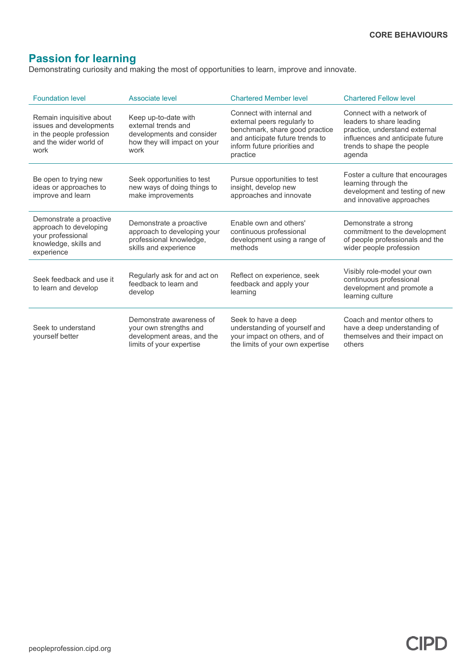#### **Passion for learning**

Demonstrating curiosity and making the most of opportunities to learn, improve and innovate.

| <b>Foundation level</b>                                                                                           | Associate level                                                                                                  | <b>Chartered Member level</b>                                                                                                                                             | <b>Chartered Fellow level</b>                                                                                                                                      |
|-------------------------------------------------------------------------------------------------------------------|------------------------------------------------------------------------------------------------------------------|---------------------------------------------------------------------------------------------------------------------------------------------------------------------------|--------------------------------------------------------------------------------------------------------------------------------------------------------------------|
| Remain inquisitive about<br>issues and developments<br>in the people profession<br>and the wider world of<br>work | Keep up-to-date with<br>external trends and<br>developments and consider<br>how they will impact on your<br>work | Connect with internal and<br>external peers regularly to<br>benchmark, share good practice<br>and anticipate future trends to<br>inform future priorities and<br>practice | Connect with a network of<br>leaders to share leading<br>practice, understand external<br>influences and anticipate future<br>trends to shape the people<br>agenda |
| Be open to trying new<br>ideas or approaches to<br>improve and learn                                              | Seek opportunities to test<br>new ways of doing things to<br>make improvements                                   | Pursue opportunities to test<br>insight, develop new<br>approaches and innovate                                                                                           | Foster a culture that encourages<br>learning through the<br>development and testing of new<br>and innovative approaches                                            |
| Demonstrate a proactive<br>approach to developing<br>your professional<br>knowledge, skills and<br>experience     | Demonstrate a proactive<br>approach to developing your<br>professional knowledge,<br>skills and experience       | Enable own and others'<br>continuous professional<br>development using a range of<br>methods                                                                              | Demonstrate a strong<br>commitment to the development<br>of people professionals and the<br>wider people profession                                                |
| Seek feedback and use it<br>to learn and develop                                                                  | Regularly ask for and act on<br>feedback to learn and<br>develop                                                 | Reflect on experience, seek<br>feedback and apply your<br>learning                                                                                                        | Visibly role-model your own<br>continuous professional<br>development and promote a<br>learning culture                                                            |
| Seek to understand<br>yourself better                                                                             | Demonstrate awareness of<br>your own strengths and<br>development areas, and the<br>limits of your expertise     | Seek to have a deep<br>understanding of yourself and<br>your impact on others, and of<br>the limits of your own expertise                                                 | Coach and mentor others to<br>have a deep understanding of<br>themselves and their impact on<br>others                                                             |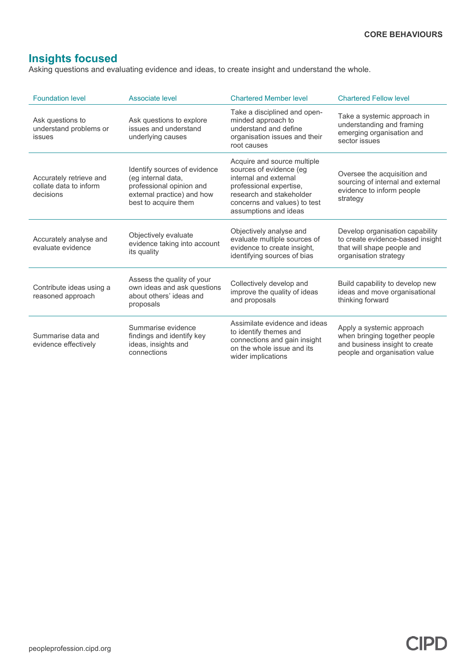### **Insights focused**

Asking questions and evaluating evidence and ideas, to create insight and understand the whole.

| <b>Foundation level</b>                                        | Associate level                                                                                                                      | <b>Chartered Member level</b>                                                                                                                                                                   | <b>Chartered Fellow level</b>                                                                                                 |
|----------------------------------------------------------------|--------------------------------------------------------------------------------------------------------------------------------------|-------------------------------------------------------------------------------------------------------------------------------------------------------------------------------------------------|-------------------------------------------------------------------------------------------------------------------------------|
| Ask questions to<br>understand problems or<br>issues           | Ask questions to explore<br>issues and understand<br>underlying causes                                                               | Take a disciplined and open-<br>minded approach to<br>understand and define<br>organisation issues and their<br>root causes                                                                     | Take a systemic approach in<br>understanding and framing<br>emerging organisation and<br>sector issues                        |
| Accurately retrieve and<br>collate data to inform<br>decisions | Identify sources of evidence<br>(eg internal data,<br>professional opinion and<br>external practice) and how<br>best to acquire them | Acquire and source multiple<br>sources of evidence (eg<br>internal and external<br>professional expertise,<br>research and stakeholder<br>concerns and values) to test<br>assumptions and ideas | Oversee the acquisition and<br>sourcing of internal and external<br>evidence to inform people<br>strategy                     |
| Accurately analyse and<br>evaluate evidence                    | Objectively evaluate<br>evidence taking into account<br>its quality                                                                  | Objectively analyse and<br>evaluate multiple sources of<br>evidence to create insight,<br>identifying sources of bias                                                                           | Develop organisation capability<br>to create evidence-based insight<br>that will shape people and<br>organisation strategy    |
| Contribute ideas using a<br>reasoned approach                  | Assess the quality of your<br>own ideas and ask questions<br>about others' ideas and<br>proposals                                    | Collectively develop and<br>improve the quality of ideas<br>and proposals                                                                                                                       | Build capability to develop new<br>ideas and move organisational<br>thinking forward                                          |
| Summarise data and<br>evidence effectively                     | Summarise evidence<br>findings and identify key<br>ideas, insights and<br>connections                                                | Assimilate evidence and ideas<br>to identify themes and<br>connections and gain insight<br>on the whole issue and its<br>wider implications                                                     | Apply a systemic approach<br>when bringing together people<br>and business insight to create<br>people and organisation value |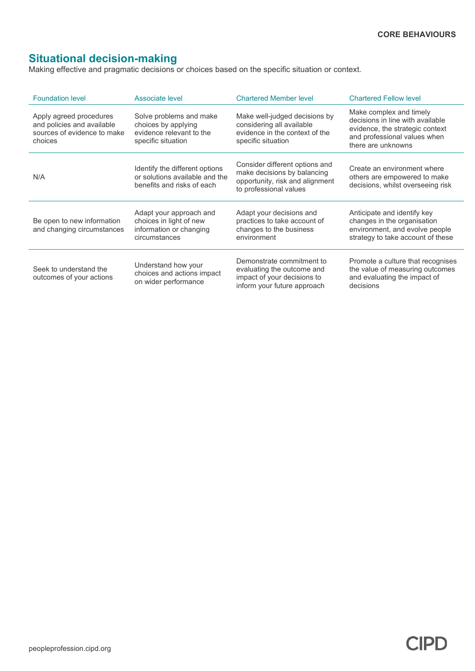#### **Situational decision-making**

Making effective and pragmatic decisions or choices based on the specific situation or context.

| <b>Foundation level</b>                                                                         | Associate level                                                                                  | <b>Chartered Member level</b>                                                                                              | <b>Chartered Fellow level</b>                                                                                                                        |
|-------------------------------------------------------------------------------------------------|--------------------------------------------------------------------------------------------------|----------------------------------------------------------------------------------------------------------------------------|------------------------------------------------------------------------------------------------------------------------------------------------------|
| Apply agreed procedures<br>and policies and available<br>sources of evidence to make<br>choices | Solve problems and make<br>choices by applying<br>evidence relevant to the<br>specific situation | Make well-judged decisions by<br>considering all available<br>evidence in the context of the<br>specific situation         | Make complex and timely<br>decisions in line with available<br>evidence, the strategic context<br>and professional values when<br>there are unknowns |
| N/A                                                                                             | Identify the different options<br>or solutions available and the<br>benefits and risks of each   | Consider different options and<br>make decisions by balancing<br>opportunity, risk and alignment<br>to professional values | Create an environment where<br>others are empowered to make<br>decisions, whilst overseeing risk                                                     |
| Be open to new information<br>and changing circumstances                                        | Adapt your approach and<br>choices in light of new<br>information or changing<br>circumstances   | Adapt your decisions and<br>practices to take account of<br>changes to the business<br>environment                         | Anticipate and identify key<br>changes in the organisation<br>environment, and evolve people<br>strategy to take account of these                    |
| Seek to understand the<br>outcomes of your actions                                              | Understand how your<br>choices and actions impact<br>on wider performance                        | Demonstrate commitment to<br>evaluating the outcome and<br>impact of your decisions to<br>inform your future approach      | Promote a culture that recognises<br>the value of measuring outcomes<br>and evaluating the impact of<br>decisions                                    |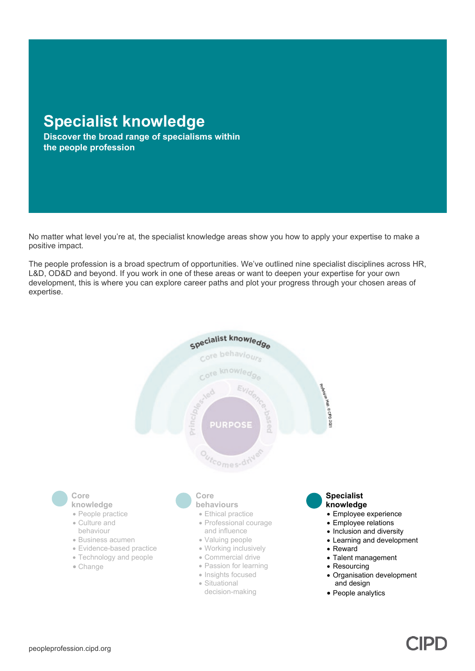# **Specialist knowledge**

**Discover the broad range of specialisms within the people profession**

No matter what level you're at, the specialist knowledge areas show you how to apply your expertise to make a positive impact.

The people profession is a broad spectrum of opportunities. We've outlined nine specialist disciplines across HR, L&D, OD&D and beyond. If you work in one of these areas or want to deepen your expertise for your own development, this is where you can explore career paths and plot your progress through your chosen areas of expertise.



**CID**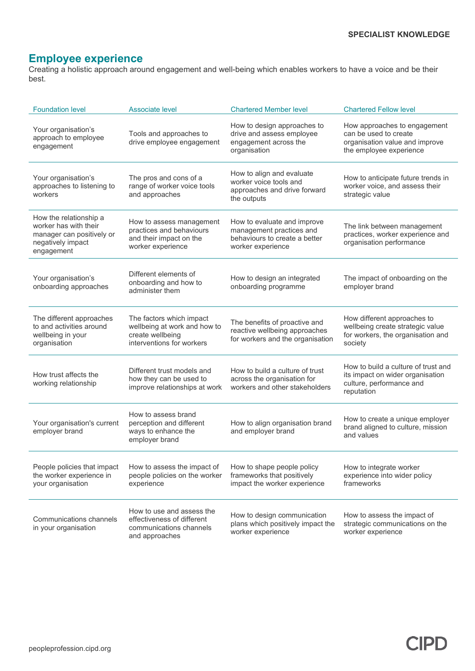#### **Employee experience**

Creating a holistic approach around engagement and well-being which enables workers to have a voice and be their best.

| <b>Foundation level</b>                                                                                         | Associate level                                                                                           | <b>Chartered Member level</b>                                                                                 | <b>Chartered Fellow level</b>                                                                                      |
|-----------------------------------------------------------------------------------------------------------------|-----------------------------------------------------------------------------------------------------------|---------------------------------------------------------------------------------------------------------------|--------------------------------------------------------------------------------------------------------------------|
| Your organisation's<br>approach to employee<br>engagement                                                       | Tools and approaches to<br>drive employee engagement                                                      | How to design approaches to<br>drive and assess employee<br>engagement across the<br>organisation             | How approaches to engagement<br>can be used to create<br>organisation value and improve<br>the employee experience |
| Your organisation's<br>approaches to listening to<br>workers                                                    | The pros and cons of a<br>range of worker voice tools<br>and approaches                                   | How to align and evaluate<br>worker voice tools and<br>approaches and drive forward<br>the outputs            | How to anticipate future trends in<br>worker voice, and assess their<br>strategic value                            |
| How the relationship a<br>worker has with their<br>manager can positively or<br>negatively impact<br>engagement | How to assess management<br>practices and behaviours<br>and their impact on the<br>worker experience      | How to evaluate and improve<br>management practices and<br>behaviours to create a better<br>worker experience | The link between management<br>practices, worker experience and<br>organisation performance                        |
| Your organisation's<br>onboarding approaches                                                                    | Different elements of<br>onboarding and how to<br>administer them                                         | How to design an integrated<br>onboarding programme                                                           | The impact of onboarding on the<br>employer brand                                                                  |
| The different approaches<br>to and activities around<br>wellbeing in your<br>organisation                       | The factors which impact<br>wellbeing at work and how to<br>create wellbeing<br>interventions for workers | The benefits of proactive and<br>reactive wellbeing approaches<br>for workers and the organisation            | How different approaches to<br>wellbeing create strategic value<br>for workers, the organisation and<br>society    |
| How trust affects the<br>working relationship                                                                   | Different trust models and<br>how they can be used to<br>improve relationships at work                    | How to build a culture of trust<br>across the organisation for<br>workers and other stakeholders              | How to build a culture of trust and<br>its impact on wider organisation<br>culture, performance and<br>reputation  |
| Your organisation's current<br>employer brand                                                                   | How to assess brand<br>perception and different<br>ways to enhance the<br>employer brand                  | How to align organisation brand<br>and employer brand                                                         | How to create a unique employer<br>brand aligned to culture, mission<br>and values                                 |
| People policies that impact<br>the worker experience in<br>your organisation                                    | How to assess the impact of<br>people policies on the worker<br>experience                                | How to shape people policy<br>frameworks that positively<br>impact the worker experience                      | How to integrate worker<br>experience into wider policy<br>frameworks                                              |
| Communications channels<br>in your organisation                                                                 | How to use and assess the<br>effectiveness of different<br>communications channels<br>and approaches      | How to design communication<br>plans which positively impact the<br>worker experience                         | How to assess the impact of<br>strategic communications on the<br>worker experience                                |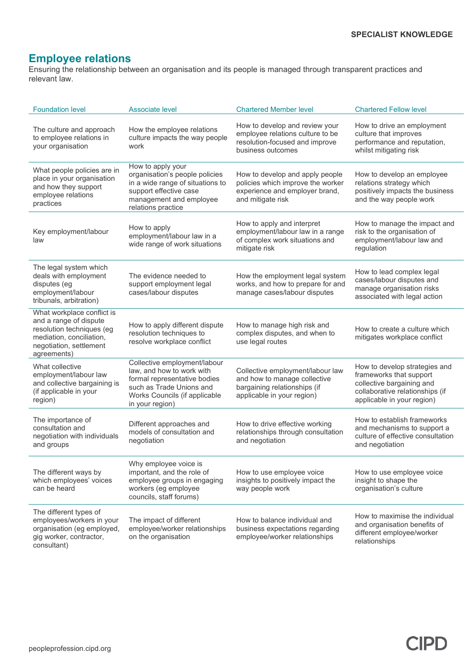#### **Employee relations**

Ensuring the relationship between an organisation and its people is managed through transparent practices and relevant law.

| <b>Foundation level</b>                                                                                                                                 | Associate level                                                                                                                                                           | <b>Chartered Member level</b>                                                                                                  | <b>Chartered Fellow level</b>                                                                                                                          |
|---------------------------------------------------------------------------------------------------------------------------------------------------------|---------------------------------------------------------------------------------------------------------------------------------------------------------------------------|--------------------------------------------------------------------------------------------------------------------------------|--------------------------------------------------------------------------------------------------------------------------------------------------------|
| The culture and approach<br>to employee relations in<br>your organisation                                                                               | How the employee relations<br>culture impacts the way people<br>work                                                                                                      | How to develop and review your<br>employee relations culture to be<br>resolution-focused and improve<br>business outcomes      | How to drive an employment<br>culture that improves<br>performance and reputation,<br>whilst mitigating risk                                           |
| What people policies are in<br>place in your organisation<br>and how they support<br>employee relations<br>practices                                    | How to apply your<br>organisation's people policies<br>in a wide range of situations to<br>support effective case<br>management and employee<br>relations practice        | How to develop and apply people<br>policies which improve the worker<br>experience and employer brand,<br>and mitigate risk    | How to develop an employee<br>relations strategy which<br>positively impacts the business<br>and the way people work                                   |
| Key employment/labour<br>law                                                                                                                            | How to apply<br>employment/labour law in a<br>wide range of work situations                                                                                               | How to apply and interpret<br>employment/labour law in a range<br>of complex work situations and<br>mitigate risk              | How to manage the impact and<br>risk to the organisation of<br>employment/labour law and<br>regulation                                                 |
| The legal system which<br>deals with employment<br>disputes (eg<br>employment/labour<br>tribunals, arbitration)                                         | The evidence needed to<br>support employment legal<br>cases/labour disputes                                                                                               | How the employment legal system<br>works, and how to prepare for and<br>manage cases/labour disputes                           | How to lead complex legal<br>cases/labour disputes and<br>manage organisation risks<br>associated with legal action                                    |
| What workplace conflict is<br>and a range of dispute<br>resolution techniques (eg<br>mediation, conciliation,<br>negotiation, settlement<br>agreements) | How to apply different dispute<br>resolution techniques to<br>resolve workplace conflict                                                                                  | How to manage high risk and<br>complex disputes, and when to<br>use legal routes                                               | How to create a culture which<br>mitigates workplace conflict                                                                                          |
| What collective<br>employment/labour law<br>and collective bargaining is<br>(if applicable in your<br>region)                                           | Collective employment/labour<br>law, and how to work with<br>formal representative bodies<br>such as Trade Unions and<br>Works Councils (if applicable<br>in your region) | Collective employment/labour law<br>and how to manage collective<br>bargaining relationships (if<br>applicable in your region) | How to develop strategies and<br>frameworks that support<br>collective bargaining and<br>collaborative relationships (if<br>applicable in your region) |
| The importance of<br>consultation and<br>negotiation with individuals<br>and groups                                                                     | Different approaches and<br>models of consultation and<br>negotiation                                                                                                     | How to drive effective working<br>relationships through consultation<br>and negotiation                                        | How to establish frameworks<br>and mechanisms to support a<br>culture of effective consultation<br>and negotiation                                     |
| The different ways by<br>which employees' voices<br>can be heard                                                                                        | Why employee voice is<br>important, and the role of<br>employee groups in engaging<br>workers (eg employee<br>councils, staff forums)                                     | How to use employee voice<br>insights to positively impact the<br>way people work                                              | How to use employee voice<br>insight to shape the<br>organisation's culture                                                                            |
| The different types of<br>employees/workers in your<br>organisation (eg employed,<br>gig worker, contractor,<br>consultant)                             | The impact of different<br>employee/worker relationships<br>on the organisation                                                                                           | How to balance individual and<br>business expectations regarding<br>employee/worker relationships                              | How to maximise the individual<br>and organisation benefits of<br>different employee/worker<br>relationships                                           |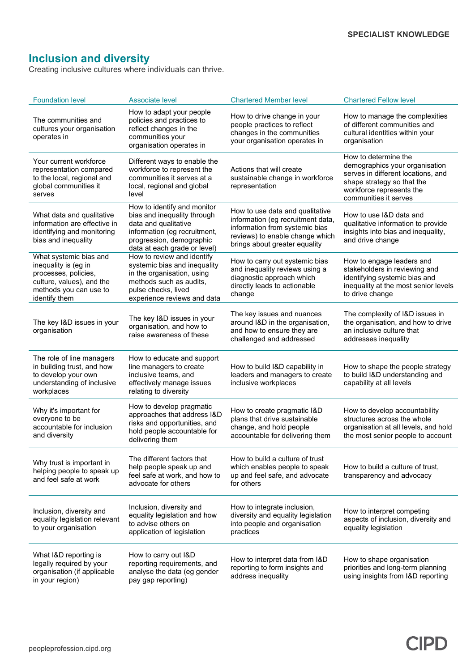#### **Inclusion and diversity**

Creating inclusive cultures where individuals can thrive.

| <b>Foundation level</b>                                                                                                                        | Associate level                                                                                                                                                                | <b>Chartered Member level</b>                                                                                                                                              | <b>Chartered Fellow level</b>                                                                                                                                                   |
|------------------------------------------------------------------------------------------------------------------------------------------------|--------------------------------------------------------------------------------------------------------------------------------------------------------------------------------|----------------------------------------------------------------------------------------------------------------------------------------------------------------------------|---------------------------------------------------------------------------------------------------------------------------------------------------------------------------------|
| The communities and<br>cultures your organisation<br>operates in                                                                               | How to adapt your people<br>policies and practices to<br>reflect changes in the<br>communities your<br>organisation operates in                                                | How to drive change in your<br>people practices to reflect<br>changes in the communities<br>your organisation operates in                                                  | How to manage the complexities<br>of different communities and<br>cultural identities within your<br>organisation                                                               |
| Your current workforce<br>representation compared<br>to the local, regional and<br>global communities it<br>serves                             | Different ways to enable the<br>workforce to represent the<br>communities it serves at a<br>local, regional and global<br>level                                                | Actions that will create<br>sustainable change in workforce<br>representation                                                                                              | How to determine the<br>demographics your organisation<br>serves in different locations, and<br>shape strategy so that the<br>workforce represents the<br>communities it serves |
| What data and qualitative<br>information are effective in<br>identifying and monitoring<br>bias and inequality                                 | How to identify and monitor<br>bias and inequality through<br>data and qualitative<br>information (eg recruitment,<br>progression, demographic<br>data at each grade or level) | How to use data and qualitative<br>information (eg recruitment data,<br>information from systemic bias<br>reviews) to enable change which<br>brings about greater equality | How to use I&D data and<br>qualitative information to provide<br>insights into bias and inequality,<br>and drive change                                                         |
| What systemic bias and<br>inequality is (eg in<br>processes, policies,<br>culture, values), and the<br>methods you can use to<br>identify them | How to review and identify<br>systemic bias and inequality<br>in the organisation, using<br>methods such as audits,<br>pulse checks, lived<br>experience reviews and data      | How to carry out systemic bias<br>and inequality reviews using a<br>diagnostic approach which<br>directly leads to actionable<br>change                                    | How to engage leaders and<br>stakeholders in reviewing and<br>identifying systemic bias and<br>inequality at the most senior levels<br>to drive change                          |
| The key I&D issues in your<br>organisation                                                                                                     | The key I&D issues in your<br>organisation, and how to<br>raise awareness of these                                                                                             | The key issues and nuances<br>around I&D in the organisation,<br>and how to ensure they are<br>challenged and addressed                                                    | The complexity of I&D issues in<br>the organisation, and how to drive<br>an inclusive culture that<br>addresses inequality                                                      |
| The role of line managers<br>in building trust, and how<br>to develop your own<br>understanding of inclusive<br>workplaces                     | How to educate and support<br>line managers to create<br>inclusive teams, and<br>effectively manage issues<br>relating to diversity                                            | How to build I&D capability in<br>leaders and managers to create<br>inclusive workplaces                                                                                   | How to shape the people strategy<br>to build I&D understanding and<br>capability at all levels                                                                                  |
| Why it's important for<br>everyone to be<br>accountable for inclusion<br>and diversity                                                         | How to develop pragmatic<br>approaches that address I&D<br>risks and opportunities, and<br>hold people accountable for<br>delivering them                                      | How to create pragmatic I&D<br>plans that drive sustainable<br>change, and hold people<br>accountable for delivering them                                                  | How to develop accountability<br>structures across the whole<br>organisation at all levels, and hold<br>the most senior people to account                                       |
| Why trust is important in<br>helping people to speak up<br>and feel safe at work                                                               | The different factors that<br>help people speak up and<br>feel safe at work, and how to<br>advocate for others                                                                 | How to build a culture of trust<br>which enables people to speak<br>up and feel safe, and advocate<br>for others                                                           | How to build a culture of trust,<br>transparency and advocacy                                                                                                                   |
| Inclusion, diversity and<br>equality legislation relevant<br>to your organisation                                                              | Inclusion, diversity and<br>equality legislation and how<br>to advise others on<br>application of legislation                                                                  | How to integrate inclusion,<br>diversity and equality legislation<br>into people and organisation<br>practices                                                             | How to interpret competing<br>aspects of inclusion, diversity and<br>equality legislation                                                                                       |
| What I&D reporting is<br>legally required by your<br>organisation (if applicable<br>in your region)                                            | How to carry out I&D<br>reporting requirements, and<br>analyse the data (eg gender<br>pay gap reporting)                                                                       | How to interpret data from I&D<br>reporting to form insights and<br>address inequality                                                                                     | How to shape organisation<br>priorities and long-term planning<br>using insights from I&D reporting                                                                             |

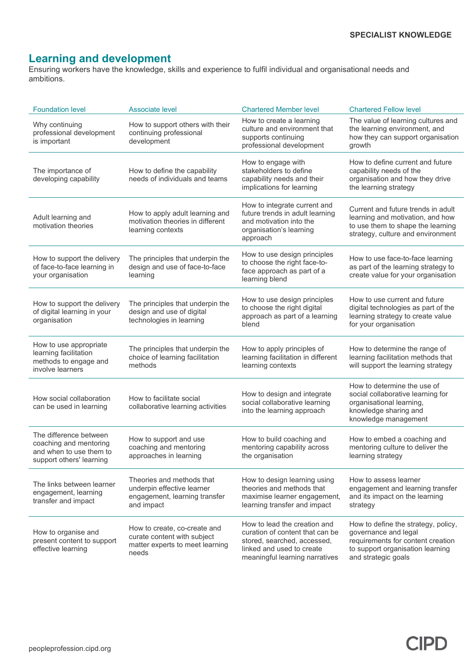#### **Learning and development**

Ensuring workers have the knowledge, skills and experience to fulfil individual and organisational needs and ambitions.

| <b>Foundation level</b>                                                                                 | Associate level                                                                                         | <b>Chartered Member level</b>                                                                                                                                 | <b>Chartered Fellow level</b>                                                                                                                               |
|---------------------------------------------------------------------------------------------------------|---------------------------------------------------------------------------------------------------------|---------------------------------------------------------------------------------------------------------------------------------------------------------------|-------------------------------------------------------------------------------------------------------------------------------------------------------------|
| Why continuing<br>professional development<br>is important                                              | How to support others with their<br>continuing professional<br>development                              | How to create a learning<br>culture and environment that<br>supports continuing<br>professional development                                                   | The value of learning cultures and<br>the learning environment, and<br>how they can support organisation<br>arowth                                          |
| The importance of<br>developing capability                                                              | How to define the capability<br>needs of individuals and teams                                          | How to engage with<br>stakeholders to define<br>capability needs and their<br>implications for learning                                                       | How to define current and future<br>capability needs of the<br>organisation and how they drive<br>the learning strategy                                     |
| Adult learning and<br>motivation theories                                                               | How to apply adult learning and<br>motivation theories in different<br>learning contexts                | How to integrate current and<br>future trends in adult learning<br>and motivation into the<br>organisation's learning<br>approach                             | Current and future trends in adult<br>learning and motivation, and how<br>to use them to shape the learning<br>strategy, culture and environment            |
| How to support the delivery<br>of face-to-face learning in<br>your organisation                         | The principles that underpin the<br>design and use of face-to-face<br>learning                          | How to use design principles<br>to choose the right face-to-<br>face approach as part of a<br>learning blend                                                  | How to use face-to-face learning<br>as part of the learning strategy to<br>create value for your organisation                                               |
| How to support the delivery<br>of digital learning in your<br>organisation                              | The principles that underpin the<br>design and use of digital<br>technologies in learning               | How to use design principles<br>to choose the right digital<br>approach as part of a learning<br>blend                                                        | How to use current and future<br>digital technologies as part of the<br>learning strategy to create value<br>for your organisation                          |
| How to use appropriate<br>learning facilitation<br>methods to engage and<br>involve learners            | The principles that underpin the<br>choice of learning facilitation<br>methods                          | How to apply principles of<br>learning facilitation in different<br>learning contexts                                                                         | How to determine the range of<br>learning facilitation methods that<br>will support the learning strategy                                                   |
| How social collaboration<br>can be used in learning                                                     | How to facilitate social<br>collaborative learning activities                                           | How to design and integrate<br>social collaborative learning<br>into the learning approach                                                                    | How to determine the use of<br>social collaborative learning for<br>organisational learning,<br>knowledge sharing and<br>knowledge management               |
| The difference between<br>coaching and mentoring<br>and when to use them to<br>support others' learning | How to support and use<br>coaching and mentoring<br>approaches in learning                              | How to build coaching and<br>mentoring capability across<br>the organisation                                                                                  | How to embed a coaching and<br>mentoring culture to deliver the<br>learning strategy                                                                        |
| The links between learner<br>engagement, learning<br>transfer and impact                                | Theories and methods that<br>underpin effective learner<br>engagement, learning transfer<br>and impact  | How to design learning using<br>theories and methods that<br>maximise learner engagement,<br>learning transfer and impact                                     | How to assess learner<br>engagement and learning transfer<br>and its impact on the learning<br>strategy                                                     |
| How to organise and<br>present content to support<br>effective learning                                 | How to create, co-create and<br>curate content with subject<br>matter experts to meet learning<br>needs | How to lead the creation and<br>curation of content that can be<br>stored, searched, accessed,<br>linked and used to create<br>meaningful learning narratives | How to define the strategy, policy,<br>governance and legal<br>requirements for content creation<br>to support organisation learning<br>and strategic goals |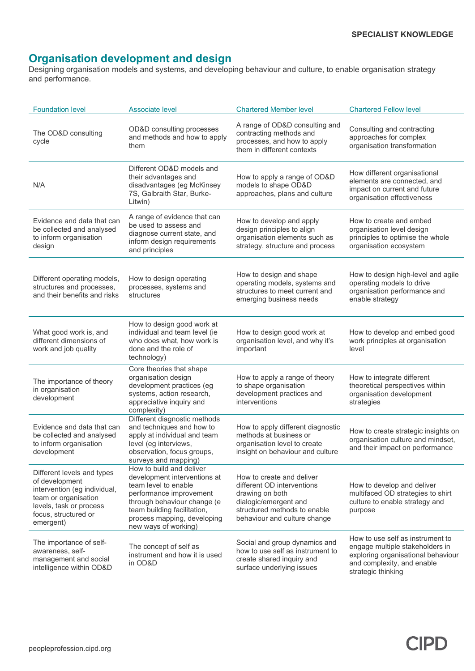#### **Organisation development and design**

Designing organisation models and systems, and developing behaviour and culture, to enable organisation strategy and performance.

| <b>Foundation level</b>                                                                                                                                              | <b>Associate level</b>                                                                                                                                                                                                           | <b>Chartered Member level</b>                                                                                                                                       | <b>Chartered Fellow level</b>                                                                                                                                 |
|----------------------------------------------------------------------------------------------------------------------------------------------------------------------|----------------------------------------------------------------------------------------------------------------------------------------------------------------------------------------------------------------------------------|---------------------------------------------------------------------------------------------------------------------------------------------------------------------|---------------------------------------------------------------------------------------------------------------------------------------------------------------|
| The OD&D consulting<br>cycle                                                                                                                                         | OD&D consulting processes<br>and methods and how to apply<br>them                                                                                                                                                                | A range of OD&D consulting and<br>contracting methods and<br>processes, and how to apply<br>them in different contexts                                              | Consulting and contracting<br>approaches for complex<br>organisation transformation                                                                           |
| N/A                                                                                                                                                                  | Different OD&D models and<br>their advantages and<br>disadvantages (eg McKinsey<br>7S, Galbraith Star, Burke-<br>Litwin)                                                                                                         | How to apply a range of OD&D<br>models to shape OD&D<br>approaches, plans and culture                                                                               | How different organisational<br>elements are connected, and<br>impact on current and future<br>organisation effectiveness                                     |
| Evidence and data that can<br>be collected and analysed<br>to inform organisation<br>design                                                                          | A range of evidence that can<br>be used to assess and<br>diagnose current state, and<br>inform design requirements<br>and principles                                                                                             | How to develop and apply<br>design principles to align<br>organisation elements such as<br>strategy, structure and process                                          | How to create and embed<br>organisation level design<br>principles to optimise the whole<br>organisation ecosystem                                            |
| Different operating models,<br>structures and processes,<br>and their benefits and risks                                                                             | How to design operating<br>processes, systems and<br>structures                                                                                                                                                                  | How to design and shape<br>operating models, systems and<br>structures to meet current and<br>emerging business needs                                               | How to design high-level and agile<br>operating models to drive<br>organisation performance and<br>enable strategy                                            |
| What good work is, and<br>different dimensions of<br>work and job quality                                                                                            | How to design good work at<br>individual and team level (ie<br>who does what, how work is<br>done and the role of<br>technology)                                                                                                 | How to design good work at<br>organisation level, and why it's<br>important                                                                                         | How to develop and embed good<br>work principles at organisation<br>level                                                                                     |
| The importance of theory<br>in organisation<br>development                                                                                                           | Core theories that shape<br>organisation design<br>development practices (eg<br>systems, action research,<br>appreciative inquiry and<br>complexity)                                                                             | How to apply a range of theory<br>to shape organisation<br>development practices and<br>interventions                                                               | How to integrate different<br>theoretical perspectives within<br>organisation development<br>strategies                                                       |
| Evidence and data that can<br>be collected and analysed<br>to inform organisation<br>development                                                                     | Different diagnostic methods<br>and techniques and how to<br>apply at individual and team<br>level (eg interviews,<br>observation, focus groups,<br>surveys and mapping)                                                         | How to apply different diagnostic<br>methods at business or<br>organisation level to create<br>insight on behaviour and culture                                     | How to create strategic insights on<br>organisation culture and mindset,<br>and their impact on performance                                                   |
| Different levels and types<br>of development<br>intervention (eg individual,<br>team or organisation<br>levels, task or process<br>focus, structured or<br>emergent) | How to build and deliver<br>development interventions at<br>team level to enable<br>performance improvement<br>through behaviour change (e<br>team building facilitation,<br>process mapping, developing<br>new ways of working) | How to create and deliver<br>different OD interventions<br>drawing on both<br>dialogic/emergent and<br>structured methods to enable<br>behaviour and culture change | How to develop and deliver<br>multifaced OD strategies to shirt<br>culture to enable strategy and<br>purpose                                                  |
| The importance of self-<br>awareness, self-<br>management and social<br>intelligence within OD&D                                                                     | The concept of self as<br>instrument and how it is used<br>in OD&D                                                                                                                                                               | Social and group dynamics and<br>how to use self as instrument to<br>create shared inquiry and<br>surface underlying issues                                         | How to use self as instrument to<br>engage multiple stakeholders in<br>exploring organisational behaviour<br>and complexity, and enable<br>strategic thinking |

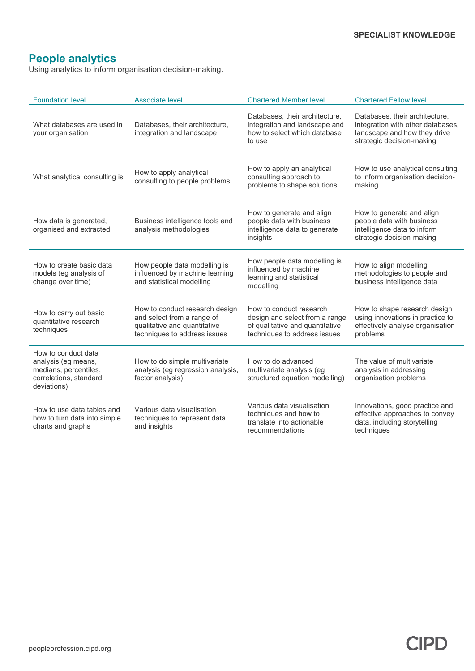### **People analytics**

Using analytics to inform organisation decision-making.

| <b>Foundation level</b>                                                                                      | Associate level                                                                                                              | <b>Chartered Member level</b>                                                                                                | <b>Chartered Fellow level</b>                                                                                                    |
|--------------------------------------------------------------------------------------------------------------|------------------------------------------------------------------------------------------------------------------------------|------------------------------------------------------------------------------------------------------------------------------|----------------------------------------------------------------------------------------------------------------------------------|
| What databases are used in<br>your organisation                                                              | Databases, their architecture,<br>integration and landscape                                                                  | Databases, their architecture,<br>integration and landscape and<br>how to select which database<br>to use                    | Databases, their architecture,<br>integration with other databases,<br>landscape and how they drive<br>strategic decision-making |
| What analytical consulting is                                                                                | How to apply analytical<br>consulting to people problems                                                                     | How to apply an analytical<br>consulting approach to<br>problems to shape solutions                                          | How to use analytical consulting<br>to inform organisation decision-<br>making                                                   |
| How data is generated,<br>organised and extracted                                                            | Business intelligence tools and<br>analysis methodologies                                                                    | How to generate and align<br>people data with business<br>intelligence data to generate<br>insights                          | How to generate and align<br>people data with business<br>intelligence data to inform<br>strategic decision-making               |
| How to create basic data<br>models (eg analysis of<br>change over time)                                      | How people data modelling is<br>influenced by machine learning<br>and statistical modelling                                  | How people data modelling is<br>influenced by machine<br>learning and statistical<br>modelling                               | How to align modelling<br>methodologies to people and<br>business intelligence data                                              |
| How to carry out basic<br>quantitative research<br>techniques                                                | How to conduct research design<br>and select from a range of<br>qualitative and quantitative<br>techniques to address issues | How to conduct research<br>design and select from a range<br>of qualitative and quantitative<br>techniques to address issues | How to shape research design<br>using innovations in practice to<br>effectively analyse organisation<br>problems                 |
| How to conduct data<br>analysis (eg means,<br>medians, percentiles,<br>correlations, standard<br>deviations) | How to do simple multivariate<br>analysis (eg regression analysis,<br>factor analysis)                                       | How to do advanced<br>multivariate analysis (eg<br>structured equation modelling)                                            | The value of multivariate<br>analysis in addressing<br>organisation problems                                                     |
| How to use data tables and<br>how to turn data into simple<br>charts and graphs                              | Various data visualisation<br>techniques to represent data<br>and insights                                                   | Various data visualisation<br>techniques and how to<br>translate into actionable<br>recommendations                          | Innovations, good practice and<br>effective approaches to convey<br>data, including storytelling<br>techniques                   |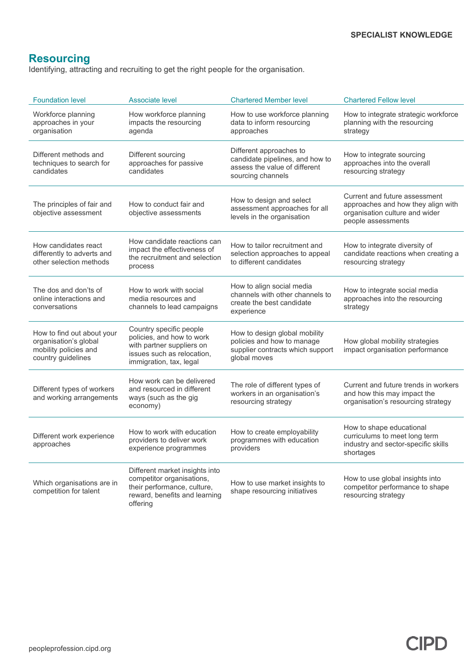### **Resourcing**

Identifying, attracting and recruiting to get the right people for the organisation.

| <b>Foundation level</b>                                                                            | Associate level                                                                                                                            | <b>Chartered Member level</b>                                                                                    | <b>Chartered Fellow level</b>                                                                                               |
|----------------------------------------------------------------------------------------------------|--------------------------------------------------------------------------------------------------------------------------------------------|------------------------------------------------------------------------------------------------------------------|-----------------------------------------------------------------------------------------------------------------------------|
| Workforce planning<br>approaches in your<br>organisation                                           | How workforce planning<br>impacts the resourcing<br>agenda                                                                                 | How to use workforce planning<br>data to inform resourcing<br>approaches                                         | How to integrate strategic workforce<br>planning with the resourcing<br>strategy                                            |
| Different methods and<br>techniques to search for<br>candidates                                    | Different sourcing<br>approaches for passive<br>candidates                                                                                 | Different approaches to<br>candidate pipelines, and how to<br>assess the value of different<br>sourcing channels | How to integrate sourcing<br>approaches into the overall<br>resourcing strategy                                             |
| The principles of fair and<br>objective assessment                                                 | How to conduct fair and<br>objective assessments                                                                                           | How to design and select<br>assessment approaches for all<br>levels in the organisation                          | Current and future assessment<br>approaches and how they align with<br>organisation culture and wider<br>people assessments |
| How candidates react<br>differently to adverts and<br>other selection methods                      | How candidate reactions can<br>impact the effectiveness of<br>the recruitment and selection<br>process                                     | How to tailor recruitment and<br>selection approaches to appeal<br>to different candidates                       | How to integrate diversity of<br>candidate reactions when creating a<br>resourcing strategy                                 |
| The dos and don'ts of<br>online interactions and<br>conversations                                  | How to work with social<br>media resources and<br>channels to lead campaigns                                                               | How to align social media<br>channels with other channels to<br>create the best candidate<br>experience          | How to integrate social media<br>approaches into the resourcing<br>strategy                                                 |
| How to find out about your<br>organisation's global<br>mobility policies and<br>country guidelines | Country specific people<br>policies, and how to work<br>with partner suppliers on<br>issues such as relocation,<br>immigration, tax, legal | How to design global mobility<br>policies and how to manage<br>supplier contracts which support<br>global moves  | How global mobility strategies<br>impact organisation performance                                                           |
| Different types of workers<br>and working arrangements                                             | How work can be delivered<br>and resourced in different<br>ways (such as the gig<br>economy)                                               | The role of different types of<br>workers in an organisation's<br>resourcing strategy                            | Current and future trends in workers<br>and how this may impact the<br>organisation's resourcing strategy                   |
| Different work experience<br>approaches                                                            | How to work with education<br>providers to deliver work<br>experience programmes                                                           | How to create employability<br>programmes with education<br>providers                                            | How to shape educational<br>curriculums to meet long term<br>industry and sector-specific skills<br>shortages               |
| Which organisations are in<br>competition for talent                                               | Different market insights into<br>competitor organisations,<br>their performance, culture,<br>reward, benefits and learning<br>offering    | How to use market insights to<br>shape resourcing initiatives                                                    | How to use global insights into<br>competitor performance to shape<br>resourcing strategy                                   |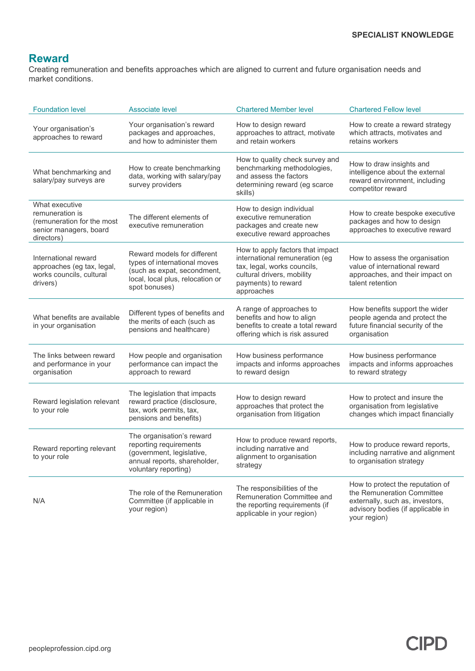#### **Reward**

Creating remuneration and benefits approaches which are aligned to current and future organisation needs and market conditions.

| <b>Foundation level</b>                                                                                 | Associate level                                                                                                                                 | <b>Chartered Member level</b>                                                                                                                                        | <b>Chartered Fellow level</b>                                                                                                                          |
|---------------------------------------------------------------------------------------------------------|-------------------------------------------------------------------------------------------------------------------------------------------------|----------------------------------------------------------------------------------------------------------------------------------------------------------------------|--------------------------------------------------------------------------------------------------------------------------------------------------------|
| Your organisation's<br>approaches to reward                                                             | Your organisation's reward<br>packages and approaches,<br>and how to administer them                                                            | How to design reward<br>approaches to attract, motivate<br>and retain workers                                                                                        | How to create a reward strategy<br>which attracts, motivates and<br>retains workers                                                                    |
| What benchmarking and<br>salary/pay surveys are                                                         | How to create benchmarking<br>data, working with salary/pay<br>survey providers                                                                 | How to quality check survey and<br>benchmarking methodologies,<br>and assess the factors<br>determining reward (eg scarce<br>skills)                                 | How to draw insights and<br>intelligence about the external<br>reward environment, including<br>competitor reward                                      |
| What executive<br>remuneration is<br>(remuneration for the most<br>senior managers, board<br>directors) | The different elements of<br>executive remuneration                                                                                             | How to design individual<br>executive remuneration<br>packages and create new<br>executive reward approaches                                                         | How to create bespoke executive<br>packages and how to design<br>approaches to executive reward                                                        |
| International reward<br>approaches (eg tax, legal,<br>works councils, cultural<br>drivers)              | Reward models for different<br>types of international moves<br>(such as expat, secondment,<br>local, local plus, relocation or<br>spot bonuses) | How to apply factors that impact<br>international remuneration (eg<br>tax, legal, works councils,<br>cultural drivers, mobility<br>payments) to reward<br>approaches | How to assess the organisation<br>value of international reward<br>approaches, and their impact on<br>talent retention                                 |
| What benefits are available<br>in your organisation                                                     | Different types of benefits and<br>the merits of each (such as<br>pensions and healthcare)                                                      | A range of approaches to<br>benefits and how to align<br>benefits to create a total reward<br>offering which is risk assured                                         | How benefits support the wider<br>people agenda and protect the<br>future financial security of the<br>organisation                                    |
| The links between reward<br>and performance in your<br>organisation                                     | How people and organisation<br>performance can impact the<br>approach to reward                                                                 | How business performance<br>impacts and informs approaches<br>to reward design                                                                                       | How business performance<br>impacts and informs approaches<br>to reward strategy                                                                       |
| Reward legislation relevant<br>to your role                                                             | The legislation that impacts<br>reward practice (disclosure,<br>tax, work permits, tax,<br>pensions and benefits)                               | How to design reward<br>approaches that protect the<br>organisation from litigation                                                                                  | How to protect and insure the<br>organisation from legislative<br>changes which impact financially                                                     |
| Reward reporting relevant<br>to your role                                                               | The organisation's reward<br>reporting requirements<br>(government, legislative,<br>annual reports, shareholder,<br>voluntary reporting)        | How to produce reward reports,<br>including narrative and<br>alignment to organisation<br>strategy                                                                   | How to produce reward reports,<br>including narrative and alignment<br>to organisation strategy                                                        |
| N/A                                                                                                     | The role of the Remuneration<br>Committee (if applicable in<br>your region)                                                                     | The responsibilities of the<br>Remuneration Committee and<br>the reporting requirements (if<br>applicable in your region)                                            | How to protect the reputation of<br>the Remuneration Committee<br>externally, such as, investors,<br>advisory bodies (if applicable in<br>your region) |